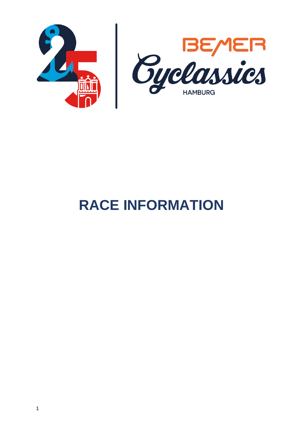

# **RACE INFORMATION**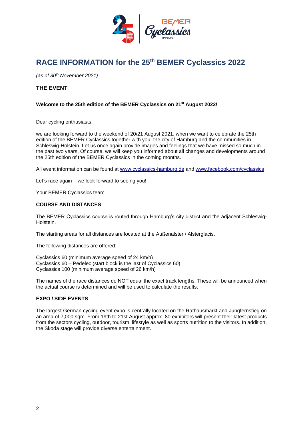

# **RACE INFORMATION for the 25th BEMER Cyclassics 2022**

*(as of 30th November 2021)*

# **THE EVENT**

# **Welcome to the 25th edition of the BEMER Cyclassics on 21st August 2022!**

Dear cycling enthusiasts,

we are looking forward to the weekend of 20/21 August 2021, when we want to celebrate the 25th edition of the BEMER Cyclassics together with you, the city of Hamburg and the communities in Schleswig-Holstein. Let us once again provide images and feelings that we have missed so much in the past two years. Of course, we will keep you informed about all changes and developments around the 25th edition of the BEMER Cyclassics in the coming months.

All event information can be found at [www.cyclassics-hamburg.de](http://www.cyclassics-hamburg.de/) and [www.facebook.com/cyclassics](http://www.facebook.com/cyclassics)

Let's race again – we look forward to seeing you!

Your BEMER Cyclassics team

# **COURSE AND DISTANCES**

The BEMER Cyclassics course is routed through Hamburg's city district and the adjacent Schleswig-Holstein.

The starting areas for all distances are located at the Außenalster / Alsterglacis.

The following distances are offered:

Cyclassics 60 (minimum average speed of 24 km/h) Cyclassics 60 – Pedelec (start block is the last of Cyclassics 60) Cyclassics 100 (minimum average speed of 26 km/h)

The names of the race distances do NOT equal the exact track lengths. These will be announced when the actual course is determined and will be used to calculate the results.

# **EXPO / SIDE EVENTS**

The largest German cycling event expo is centrally located on the Rathausmarkt and Jungfernstieg on an area of 7,000 sqm. From 19th to 21st August approx. 80 exhibitors will present their latest products from the sectors cycling, outdoor, tourism, lifestyle as well as sports nutrition to the visitors. In addition, the Skoda stage will provide diverse entertainment.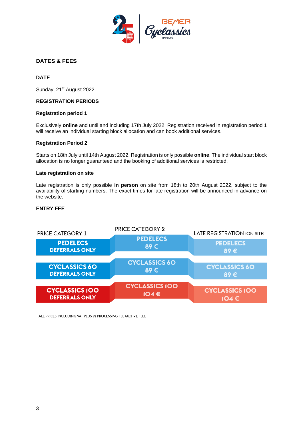

# **DATES & FEES**

# **DATE**

Sunday, 21<sup>st</sup> August 2022

# <span id="page-2-0"></span>**REGISTRATION PERIODS**

#### **Registration period 1**

Exclusively **online** and until and including 17th July 2022. Registration received in registration period 1 will receive an individual starting block allocation and can book additional services.

#### **Registration Period 2**

Starts on 18th July until 14th August 2022. Registration is only possible **online**. The individual start block allocation is no longer guaranteed and the booking of additional services is restricted.

#### **Late registration on site**

Late registration is only possible **in person** on site from 18th to 20th August 2022, subject to the availability of starting numbers. The exact times for late registration will be announced in advance on the website.

# <span id="page-2-1"></span>**ENTRY FEE**



ALL PRICES INCLUDING VAT PLUS 9% PROCESSING FEE (ACTIVE FEE).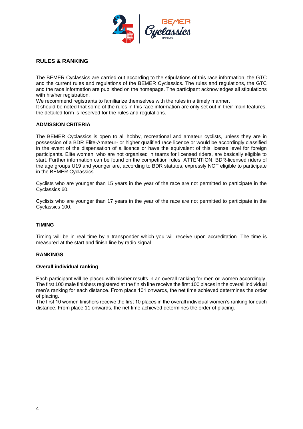

# **RULES & RANKING**

The BEMER Cyclassics are carried out according to the stipulations of this race information, the GTC and the current rules and regulations of the BEMER Cyclassics. The rules and regulations, the GTC and the race information are published on the homepage. The participant acknowledges all stipulations with his/her registration.

We recommend registrants to familiarize themselves with the rules in a timely manner.

It should be noted that some of the rules in this race information are only set out in their main features, the detailed form is reserved for the rules and regulations.

# **ADMISSION CRITERIA**

The BEMER Cyclassics is open to all hobby, recreational and amateur cyclists, unless they are in possession of a BDR Elite-Amateur- or higher qualified race licence or would be accordingly classified in the event of the dispensation of a licence or have the equivalent of this license level for foreign participants. Elite women, who are not organised in teams for licensed riders, are basically eligible to start. Further information can be found on the competition rules. ATTENTION: BDR-licensed riders of the age groups U19 and younger are, according to BDR statutes, expressly NOT eligible to participate in the BEMER Cyclassics.

Cyclists who are younger than 15 years in the year of the race are not permitted to participate in the Cyclassics 60.

Cyclists who are younger than 17 years in the year of the race are not permitted to participate in the Cyclassics 100.

#### **TIMING**

Timing will be in real time by a transponder which you will receive upon accreditation. The time is measured at the start and finish line by radio signal.

#### **RANKINGS**

#### **Overall individual ranking**

Each participant will be placed with his/her results in an overall ranking for men **or** women accordingly. The first 100 male finishers registered at the finish line receive the first 100 places in the overall individual men's ranking for each distance. From place 101 onwards, the net time achieved determines the order of placing.

The first 10 women finishers receive the first 10 places in the overall individual women's ranking for each distance. From place 11 onwards, the net time achieved determines the order of placing.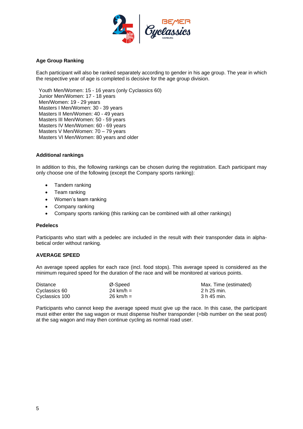

# **Age Group Ranking**

Each participant will also be ranked separately according to gender in his age group. The year in which the respective year of age is completed is decisive for the age group division.

Youth Men/Women: 15 - 16 years (only Cyclassics 60) Junior Men/Women: 17 - 18 years Men/Women: 19 - 29 years Masters I Men/Women: 30 - 39 years Masters II Men/Women: 40 - 49 years Masters III Men/Women: 50 - 59 years Masters IV Men/Women: 60 - 69 years Masters V Men/Women: 70 – 79 years Masters VI Men/Women: 80 years and older

# **Additional rankings**

In addition to this, the following rankings can be chosen during the registration. Each participant may only choose one of the following (except the Company sports ranking):

- Tandem ranking
- Team ranking
- Women's team ranking
- Company ranking
- Company sports ranking (this ranking can be combined with all other rankings)

#### **Pedelecs**

Participants who start with a pedelec are included in the result with their transponder data in alphabetical order without ranking.

#### **AVERAGE SPEED**

An average speed applies for each race (incl. food stops). This average speed is considered as the minimum required speed for the duration of the race and will be monitored at various points.

| <b>Distance</b> | Ø-Speed               | Max. Time (estimated) |
|-----------------|-----------------------|-----------------------|
| Cyclassics 60   | 24 km/h $=$           | 2 h 25 min.           |
| Cyclassics 100  | $26 \; \text{km/h} =$ | 3 h 45 min.           |

Participants who cannot keep the average speed must give up the race. In this case, the participant must either enter the sag wagon or must dispense his/her transponder (=bib number on the seat post) at the sag wagon and may then continue cycling as normal road user.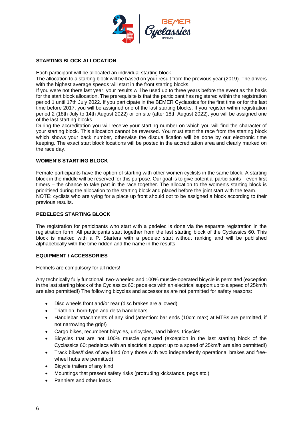

# **STARTING BLOCK ALLOCATION**

Each participant will be allocated an individual starting block.

The allocation to a starting block will be based on your result from the previous year (2019). The drivers with the highest average speeds will start in the front starting blocks.

If you were not there last year, your results will be used up to three years before the event as the basis for the start block allocation. The prerequisite is that the participant has registered within the registration period 1 until 17th July 2022. If you participate in the BEMER Cyclassics for the first time or for the last time before 2017, you will be assigned one of the last starting blocks. If you register within registration period 2 (18th July to 14th August 2022) or on site (after 18th August 2022), you will be assigned one of the last starting blocks.

During the accreditation you will receive your starting number on which you will find the character of your starting block. This allocation cannot be reversed. You must start the race from the starting block which shows your back number, otherwise the disqualification will be done by our electronic time keeping. The exact start block locations will be posted in the accreditation area and clearly marked on the race day.

# **WOMEN'S STARTING BLOCK**

Female participants have the option of starting with other women cyclists in the same block. A starting block in the middle will be reserved for this purpose. Our goal is to give potential participants – even first timers – the chance to take part in the race together. The allocation to the women's starting block is prioritised during the allocation to the starting block and placed before the joint start with the team. NOTE: cyclists who are vying for a place up front should opt to be assigned a block according to their previous results.

# **PEDELECS STARTING BLOCK**

The registration for participants who start with a pedelec is done via the separate registration in the registration form. All participants start together from the last starting block of the Cyclassics 60. This block is marked with a P. Starters with a pedelec start without ranking and will be published alphabetically with the time ridden and the name in the results.

# **EQUIPMENT / ACCESSORIES**

Helmets are compulsory for all riders!

Any technically fully functional, two-wheeled and 100% muscle-operated bicycle is permitted (exception in the last starting block of the Cyclassics 60: pedelecs with an electrical support up to a speed of 25km/h are also permitted!) The following bicycles and accessories are not permitted for safety reasons:

- Disc wheels front and/or rear (disc brakes are allowed)
- Triathlon, horn-type and delta handlebars
- Handlebar attachments of any kind (attention: bar ends (10cm max) at MTBs are permitted, if not narrowing the grip!)
- Cargo bikes, recumbent bicycles, unicycles, hand bikes, tricycles
- Bicycles that are not 100% muscle operated (exception in the last starting block of the Cyclassics 60: pedelecs with an electrical support up to a speed of 25km/h are also permitted!)
- Track bikes/fixies of any kind (only those with two independently operational brakes and freewheel hubs are permitted)
- Bicycle trailers of any kind
- Mountings that present safety risks (protruding kickstands, pegs etc.)
- Panniers and other loads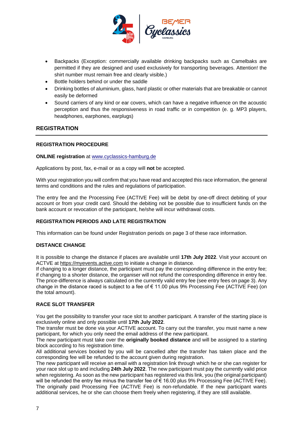

- Backpacks (Exception: commercially available drinking backpacks such as Camelbaks are permitted if they are designed and used exclusively for transporting beverages. Attention! the shirt number must remain free and clearly visible.)
- Bottle holders behind or under the saddle
- Drinking bottles of aluminium, glass, hard plastic or other materials that are breakable or cannot easily be deformed
- Sound carriers of any kind or ear covers, which can have a negative influence on the acoustic perception and thus the responsiveness in road traffic or in competition (e. g. MP3 players, headphones, earphones, earplugs)

# **REGISTRATION**

# **REGISTRATION PROCEDURE**

# **ONLINE registration** at [www.cyclassics-hamburg.de](http://www.cyclassics-hamburg.de/)

Applications by post, fax, e-mail or as a copy will **not** be accepted.

With your registration you will confirm that you have read and accepted this race information, the general terms and conditions and the rules and regulations of participation.

The entry fee and the Processing Fee (ACTIVE Fee) will be debit by one-off direct debiting of your account or from your credit card. Should the debiting not be possible due to insufficient funds on the bank account or revocation of the participant, he/she will incur withdrawal costs.

# **REGISTRATION PERIODS AND LATE REGISTRATION**

This information can be found under [Registration periods](#page-2-0) on page [3](#page-2-0) of these race information.

# **DISTANCE CHANGE**

It is possible to change the distance if places are available until **17th July 2022**. Visit your account on ACTVE at [https://myevents.active.com](https://myevents.active.com/login.jsf) to initiate a change in distance.

If changing to a longer distance, the participant must pay the corresponding difference in the entry fee; if changing to a shorter distance, the organiser will not refund the corresponding difference in entry fee. The price-difference is always calculated on the currently valid entry fee (see entry fees on page [3\)](#page-2-1). Any change in the distance raced is subject to a fee of € 11.00 plus 9% Processing Fee (ACTIVE Fee) (on the total amount).

# **RACE SLOT TRANSFER**

You get the possibility to transfer your race slot to another participant. A transfer of the starting place is exclusively online and only possible until **17th July 2022**.

The transfer must be done via your ACTIVE account. To carry out the transfer, you must name a new participant, for which you only need the email address of the new participant.

The new participant must take over the **originally booked distance** and will be assigned to a starting block according to his registration time.

All additional services booked by you will be cancelled after the transfer has taken place and the corresponding fee will be refunded to the account given during registration.

The new participant will receive an email with a registration link through which he or she can register for your race slot up to and including **24th July 2022**. The new participant must pay the currently valid price when registering. As soon as the new participant has registered via this link, you (the original participant) will be refunded the entry fee minus the transfer fee of  $\epsilon$  16.00 plus 9% Processing Fee (ACTIVE Fee). The originally paid Processing Fee (ACTIVE Fee) is non-refundable. If the new participant wants additional services, he or she can choose them freely when registering, if they are still available.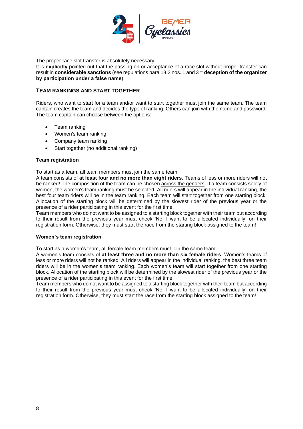

The proper race slot transfer is absolutely necessary!

It is **explicitly** pointed out that the passing on or acceptance of a race slot without proper transfer can result in **considerable sanctions** (see regulations para 18.2 nos. 1 and 3 = **deception of the organizer by participation under a false name**).

# **TEAM RANKINGS AND START TOGETHER**

Riders, who want to start for a team and/or want to start together must join the same team. The team captain creates the team and decides the type of ranking. Others can join with the name and password. The team captain can choose between the options:

- Team ranking
- Women's team ranking
- Company team ranking
- Start together (no additional ranking)

#### **Team registration**

To start as a team, all team members must join the same team.

A team consists of **at least four and no more than eight riders**. Teams of less or more riders will not be ranked! The composition of the team can be chosen across the genders. If a team consists solely of women, the women's team ranking must be selected. All riders will appear in the individual ranking, the best four team riders will be in the team ranking. Each team will start together from one starting block. Allocation of the starting block will be determined by the slowest rider of the previous year or the presence of a rider participating in this event for the first time.

Team members who do not want to be assigned to a starting block together with their team but according to their result from the previous year must check 'No, I want to be allocated individually' on their registration form. Otherwise, they must start the race from the starting block assigned to the team!

# **Women's team registration**

To start as a women's team, all female team members must join the same team.

A women's team consists of **at least three and no more than six female riders**. Women's teams of less or more riders will not be ranked! All riders will appear in the individual ranking, the best three team riders will be in the women's team ranking. Each women's team will start together from one starting block. Allocation of the starting block will be determined by the slowest rider of the previous year or the presence of a rider participating in this event for the first time.

Team members who do not want to be assigned to a starting block together with their team but according to their result from the previous year must check 'No, I want to be allocated individually' on their registration form. Otherwise, they must start the race from the starting block assigned to the team!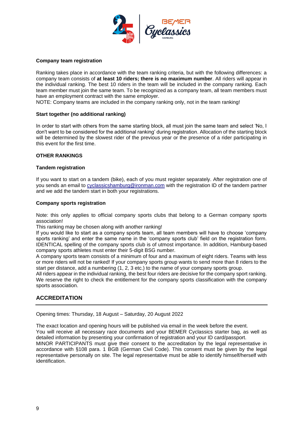

# **Company team registration**

Ranking takes place in accordance with the team ranking criteria, but with the following differences: a company team consists of **at least 10 riders; there is no maximum number**. All riders will appear in the individual ranking. The best 10 riders in the team will be included in the company ranking. Each team member must join the same team. To be recognized as a company team, all team members must have an employment contract with the same employer.

NOTE: Company teams are included in the company ranking only, not in the team ranking!

# **Start together (no additional ranking)**

In order to start with others from the same starting block, all must join the same team and select 'No, I don't want to be considered for the additional ranking' during registration. Allocation of the starting block will be determined by the slowest rider of the previous year or the presence of a rider participating in this event for the first time.

# **OTHER RANKINGS**

#### **Tandem registration**

If you want to start on a tandem (bike), each of you must register separately. After registration one of you sends an email to [cyclassicshamburg@ironman.com](mailto:cyclassicshamburg@ironman.com) with the registration ID of the tandem partner and we add the tandem start in both your registrations.

#### **Company sports registration**

Note: this only applies to official company sports clubs that belong to a German company sports association!

This ranking may be chosen along with another ranking!

If you would like to start as a company sports team, all team members will have to choose 'company sports ranking' and enter the same name in the 'company sports club' field on the registration form. IDENTICAL spelling of the company sports club is of utmost importance. In addition, Hamburg-based company sports athletes must enter their 5-digit BSG number.

A company sports team consists of a minimum of four and a maximum of eight riders. Teams with less or more riders will not be ranked! If your company sports group wants to send more than 8 riders to the start per distance, add a numbering (1, 2, 3 etc.) to the name of your company sports group.

All riders appear in the individual ranking, the best four riders are decisive for the company sport ranking. We reserve the right to check the entitlement for the company sports classification with the company sports association.

# **ACCREDITATION**

Opening times: Thursday, 18 August – Saturday, 20 August 2022

The exact location and opening hours will be published via email in the week before the event. You will receive all necessary race documents and your BEMER Cyclassics starter bag, as well as detailed information by presenting your confirmation of registration and your ID card/passport. MINOR PARTICIPANTS must give their consent to the accreditation by the legal representative in accordance with §108 para. 1 BGB (German Civil Code). This consent must be given by the legal representative personally on site. The legal representative must be able to identify himself/herself with identification.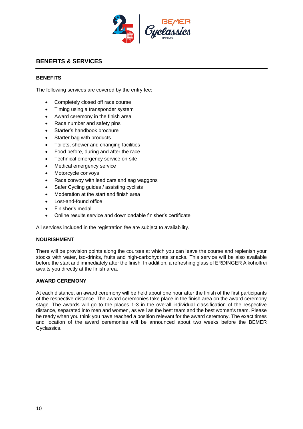

# **BENEFITS & SERVICES**

# **BENEFITS**

The following services are covered by the entry fee:

- Completely closed off race course
- Timing using a transponder system
- Award ceremony in the finish area
- Race number and safety pins
- Starter's handbook brochure
- Starter bag with products
- Toilets, shower and changing facilities
- Food before, during and after the race
- Technical emergency service on-site
- Medical emergency service
- Motorcycle convoys
- Race convoy with lead cars and sag waggons
- Safer Cycling guides / assisting cyclists
- Moderation at the start and finish area
- Lost-and-found office
- Finisher's medal
- Online results service and downloadable finisher's certificate

All services included in the registration fee are subject to availability.

#### **NOURISHMENT**

There will be provision points along the courses at which you can leave the course and replenish your stocks with water, iso-drinks, fruits and high-carbohydrate snacks. This service will be also available before the start and immediately after the finish. In addition, a refreshing glass of ERDINGER Alkoholfrei awaits you directly at the finish area.

#### **AWARD CEREMONY**

At each distance, an award ceremony will be held about one hour after the finish of the first participants of the respective distance. The award ceremonies take place in the finish area on the award ceremony stage. The awards will go to the places 1-3 in the overall individual classification of the respective distance, separated into men and women, as well as the best team and the best women's team. Please be ready when you think you have reached a position relevant for the award ceremony. The exact times and location of the award ceremonies will be announced about two weeks before the BEMER Cyclassics.